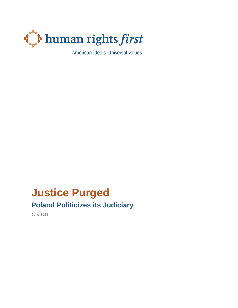

American ideals. Universal values.

# **Justice Purged Poland Politicizes its Judiciary**

**June 2018**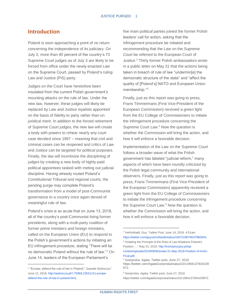# **Introduction**

Poland is soon approaching a point of no return concerning the independence of its judiciary. On July 3, more than 40 percent of the country's 73 Supreme Court judges as of July 3 are likely to be forced from office under the newly-enacted Law on the Supreme Court, passed by Poland's ruling Law and Justice (PiS) party.

Judges on the Court have heretofore been insulated from the current Polish government's mounting attacks on the rule of law. Under the new law, however, these judges will likely be replaced by Law and Justice loyalists appointed on the basis of fidelity to party rather than on juridical merit. In addition to the forced retirement of Supreme Court judges, the new law will create a body with powers to rehear nearly any court case decided since 1997 – meaning that civil and criminal cases can be reopened and critics of Law and Justice can be targeted for political purposes. Finally, the law will incentivize the disciplining of judges by creating a new body of highly-paid political appointees tasked with meting out judicial discipline. Having already routed Poland's Constitutional Tribunal and regional courts, the pending purge may complete Poland's transformation from a model of post-Communist governance to a country once again devoid of meaningful rule of law.

Poland's crisis is so acute that on June 13, 2018, all of the country's post-Communist living former presidents, along with a multi-party coalition of former prime ministers and foreign ministers, called on the European Union (EU) to respond to the Polish's government's actions by initiating an EU infringement procedure, stating "There will be no democratic Poland without the rule of law."<sup>1</sup> On June 14, leaders of the European Parliament's

l

five main political parties joined the former Polish leaders' call for action, asking that the infringement procedure be initiated and recommending that the Law on the Supreme Court be referred to the European Court of Justice.<sup>2</sup> Thirty former Polish ambassadors wrote in a public letter on May 31 that the actions being taken in breach of rule of law "undermin[e] the democratic structure of the state" and "affect the quality of [Poland's] NATO and European Union membership."<sup>3</sup>

Finally, just as this report was going to press, Frans Timmermans (First Vice-President of the European Commission) received a green light from the EU College of Commissioners to initiate the infringement procedure concerning the Supreme Court Law.<sup>4</sup> Now the question is whether the Commission will bring the action, and how it will enforce a favorable decision.

Implementation of the Law on the Supreme Court follows a broader wave of what the Polish government has labeled "judicial reform," many aspects of which have been roundly criticized by the Polish legal community and international observers. Finally, just as this report was going to press, Frans Timmermans (First Vice-President of the European Commission) apparently received a green light from the EU College of Commissioners to initiate the infringement procedure concerning the Supreme Court Law.<sup>5</sup> Now the question is whether the Commission will bring the action, and how it will enforce a favorable decision.

<sup>1</sup> "Europe, defend the rule of law in Poland!," *Gazette Wyborcza*." June 13, 2018[. http://wyborcza.pl/7,75968,23531141,europe](http://wyborcza.pl/7,75968,23531141,europe-defend-the-rule-of-law-in-poland.html)[defend-the-rule-of-law-in-poland.html.](http://wyborcza.pl/7,75968,23531141,europe-defend-the-rule-of-law-in-poland.html)

<sup>2</sup> Verhofstadt, Guy. Twitter Post. June 14, 2018. 4:51am.

[https://twitter.com/guyverhofstadt/status/1007229076547960834.](https://twitter.com/guyverhofstadt/status/1007229076547960834) <sup>3</sup> Violating the Principle of the Rule of Law Weakens Poland's Position ...." May 31, 2018[. http://konstytucyjny.pl/wp-](http://konstytucyjny.pl/wp-content/uploads/2018/06/Warsaw-31-May-2018-Position-of-KA2c-Final.pdf)

[content/uploads/2018/06/Warsaw-31-May-2018-Position-of-KA2c-](http://konstytucyjny.pl/wp-content/uploads/2018/06/Warsaw-31-May-2018-Position-of-KA2c-Final.pdf)[Final.pdf.](http://konstytucyjny.pl/wp-content/uploads/2018/06/Warsaw-31-May-2018-Position-of-KA2c-Final.pdf)

<sup>4</sup> Gostynska, Agata, Twitter post, June 27, 2018 [https://twitter.com/AgataGostynska/status/1011994137934159](https://twitter.com/AgataGostynska/status/1011994137934159872) [872.](https://twitter.com/AgataGostynska/status/1011994137934159872)

<sup>5</sup> Gostynska, Agata, Twitter post, June 27, 2018 [https://twitter.com/AgataGostynska/status/1011994137934159872.](https://twitter.com/AgataGostynska/status/1011994137934159872)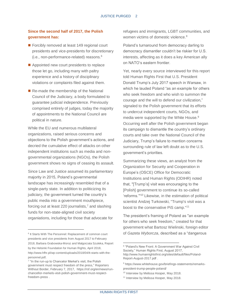## **Since the second half of 2017, the Polish government has:**

- Forcibly removed at least 149 regional court presidents and vice-presidents for discretionary (i.e., non-performance-related) reasons.<sup>6</sup>
- Appointed new court presidents to replace those let go, including many with paltry experience and a history of disciplinary violations or complaints filed against them.
- Re-made the membership of the National Council of the Judiciary, a body formulated to guarantee judicial independence. Previously comprised entirely of judges, today the majority of appointments to the National Council are political in nature.

While the EU and numerous multilateral organizations, raised serious concerns and objections to the Polish government's actions, and decried the cumulative effect of attacks on other independent institutions such as media and nongovernmental organizations (NGOs), the Polish government shows no signs of ceasing its assault.

Since Law and Justice assumed its parliamentary majority in 2015, Poland's governmental landscape has increasingly resembled that of a single-party state. In addition to politicizing its judiciary, the government turned the country's public media into a government mouthpiece, forcing out at least 220 journalists, $<sup>7</sup>$  and slashing</sup> funds for non-state-aligned civil society organiations, including for those that advocate for

l

refugees and immigrants, LGBT communities, and women victims of domestic violence.<sup>8</sup>

Poland's turnaround from democracy darling to democracy dismantler couldn't be riskier for U.S. interests, affecting as it does a key American ally on NATO's eastern frontier.

Yet, nearly every source interviewed for this report told Human Rights First that U.S. President Donald Trump's July 2017 speech in Warsaw, in which he lauded Poland "as an example for others who seek freedom and who wish to summon the courage and the will to defend our civilization," signaled to the Polish government that its efforts to undercut independent courts, NGOs, and media were supported by the White House.<sup>9</sup> Occurring well after the Polish government began its campaign to dismantle the country's ordinary courts and take over the National Council of the Judiciary, Trump's failure to mention concerns surrounding rule of law left doubt as to the U.S. government's priorities.

Summarizing these views, an analyst from the Organization for Security and Cooperation in Europe's (OSCE) Office for Democratic Institutions and Human Rights (ODIHR) noted that, "[Trump's] visit was encouraging to the [Polish] government to continue its so-called 'reforms.'"<sup>10</sup> Likewise, in the estimation of political scientist Andzej Turkowski, "Trump's visit was a boost to the conservative PiS camp."<sup>11</sup>

The president's framing of Poland as "an example for others who seek freedom," created for that government what Bartosz Wielinski, foreign editor of *Gazeta Wyborcza*, described as a "dangerous

<sup>&</sup>lt;sup>6</sup> It Starts With The Personnel: Replacement of common court presidents and vice presidents from August 2017 to February 2018, Barbara Grabowska-Moroz and Malgorzata Szuleka, Report by the Helsinki Foundation for Human Rights, April 2018, [http://www.hfhr.pl/wp-content/uploads/2018/04/It-starts-with-the](http://www.hfhr.pl/wp-content/uploads/2018/04/It-starts-with-the-personnel.pdf)[personnel.pdf.](http://www.hfhr.pl/wp-content/uploads/2018/04/It-starts-with-the-personnel.pdf)

<sup>&</sup>lt;sup>7</sup> "In the run-up to Chancelor Merkel's visit, the Polish government must respect freedom of the press," Reporters Without Border, February 7, 2017, [https://rsf.org/en/news/run](https://rsf.org/en/news/run-chancellor-merkels-visit-polish-government-must-respect-freedom-press)[chancellor-merkels-visit-polish-government-must-respect](https://rsf.org/en/news/run-chancellor-merkels-visit-polish-government-must-respect-freedom-press)[freedom-press](https://rsf.org/en/news/run-chancellor-merkels-visit-polish-government-must-respect-freedom-press) .

<sup>&</sup>lt;sup>8</sup> "Poland's New Front: A Government War Against Civil Society," Human Rights First, August 2017, [http://www.humanrightsfirst.org/sites/default/files/Poland-](http://www.humanrightsfirst.org/sites/default/files/Poland-Report-August-2017.pdf)[Report-August-2017.pdf](http://www.humanrightsfirst.org/sites/default/files/Poland-Report-August-2017.pdf) .

<sup>9</sup> [https://www.whitehouse.gov/briefings-statements/remarks](https://www.whitehouse.gov/briefings-statements/remarks-president-trump-people-poland/)[president-trump-people-poland/](https://www.whitehouse.gov/briefings-statements/remarks-president-trump-people-poland/)

<sup>&</sup>lt;sup>10</sup> Interview by Melissa Hooper, May 2018.

<sup>&</sup>lt;sup>11</sup> Interview by Melissa Hooper, May 2018.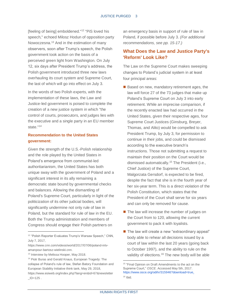[feeling of being] emboldened."<sup>12</sup> "PiS loved his speech," echoed Milosz Hodun of opposition party Nowoczesna.<sup>13</sup> And in the estimation of many observers, soon after Trump's speech, the Polish government took action on the basis of a perceived green light from Washington. On July 12, six days after President Trump's address, the Polish government introduced three new laws overhauling its court system and Supreme Court, the last of which will go into effect on July 3.

In the words of two Polish experts, with the implementation of these laws, the Law and Justice-led government is poised to complete the creation of a new justice system in which "the control of courts, prosecutors, and judges lies with the executive and a single party in an EU member state."<sup>14</sup>

## **Recommendation to the United States government:**

Given the strength of the U.S.-Polish relationship and the role played by the United States in Poland's emergence from communist-led authoritarianism, the United States has both unique sway with the government of Poland and a significant interest in its ally remaining a democratic state bound by governmental checks and balances. Allowing the dismantling of Poland's Supreme Court, particularly in light of the politicization of its other judicial bodies, will significantly undermine not only rule of law in Poland, but the standard for rule of law in the EU. Both the Trump administration and members of Congress should engage their Polish partners on

l

an emergency basis in support of rule of law in Poland, if possible before July 3. *(For additional recommendations, see pp. 15-17.)*

## **What Does the Law and Justice Party's 'Reform' Look Like?**

The Law on the Supreme Court makes sweeping changes to Poland's judicial system in at least four principal areas:

- Based on new, mandatory retirement ages, the law will force 27 of the 73 judges that make up Poland's Supreme Court on July 3 into early retirement. While an imprecise comparison, if the recently enacted law had occurred in the United States, given their respective ages, four Supreme Court Justices (Ginsburg, Breyer, Thomas, and Alito) would be compelled to ask President Trump, by July 3, for permission to continue in their jobs, and could be dismissed according to the executive branch's instructions. Those not submitting a request to maintain their position on the Court would be dismissed automatically.<sup>15</sup> The President (i.e., Chief Justice) of the Supreme Court, Malgorzata Gersdorf, is expected to be fired, despite the fact that she is in the fourth year of her six-year term. This is a direct violation of the Polish Constitution, which states that the President of the Court shall serve for six years and can only be removed for cause.
- The law will increase the number of judges on the Court from to 120, allowing the current government to pack it with loyalists.
- The law will create a new "extraordinary appeal" body able to rehear all decisions issued by a court of law within the last 20 years (going back to October 1997), and the ability to rule on the validity of elections.<sup>16</sup> The new body will be able

<sup>&</sup>lt;sup>12</sup> "Polish Reporter Evaluates Trump's Warsaw Speech," CNN, July 7, 2017,

[https://www.cnn.com/videos/world/2017/07/06/poland-intv](https://www.cnn.com/videos/world/2017/07/06/poland-intv-amanpour-bartosz-wielinski.cnn)[amanpour-bartosz-wielinski.cnn.](https://www.cnn.com/videos/world/2017/07/06/poland-intv-amanpour-bartosz-wielinski.cnn) 

<sup>&</sup>lt;sup>13</sup> Interview by Melissa Hooper, May 2018.

<sup>14</sup> Piotr Buras and Gerald Knaus, European Tragedy: The collapse of Poland's rule of law, Stefan Batory Foundation and European Stability Initiative think tank, May 29, 2018, https://www.esiweb.org/index.php?lang=en&id=67&newsletter  $ID = 125$ .

<sup>&</sup>lt;sup>15</sup> "Final Opinion on Draft Amendments to the act on the Supreme Court," *OSCE*. Accessed May 5th, 2017. [https://www.osce.org/odihr/315946?download=true.](https://www.osce.org/odihr/315946?download=true) <sup>16</sup> Ibid.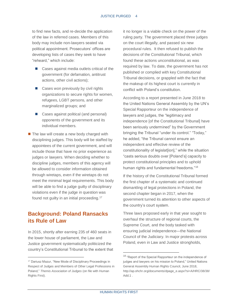to find new facts, and re-decide the application of the law in referred cases. Members of this body may include non-lawyers seated via political appointment. Prosecutors' offices are developing lists of cases they seek to have "reheard," which include:

- Cases against media outlets critical of the government (for defamation, antitrust actions, other civil actions);
- Cases won previously by civil rights organizations to secure rights for women, refugees, LGBT persons, and other marginalized groups; and
- Cases against political (and personal) opponents of the government and its individual members.
- The law will create a new body charged with disciplining judges. This body will be staffed by appointees of the current government, and will include those that have no prior experience as judges or lawyers. When deciding whether to discipline judges, members of this agency will be allowed to consider information obtained through wiretaps, even if the wiretaps do not meet the minimal legal requirements. This body will be able to find a judge guilty of disciplinary violations even if the judge in question was found not guilty in an initial proceeding.<sup>17</sup>

# **Background: Poland Ransacks its Rule of Law**

In 2015, shortly after earning 235 of 460 seats in the lower house of parliament, the Law and Justice government systematically politicized the country's Constitutional Tribunal to the extent that

l

it no longer is a viable check on the power of the ruling party. The government placed three judges on the court illegally, and passed six new procedural rules. It then refused to publish the decisions of the Constitutional Tribunal, which found these actions unconstitutional, as was required by law. To date, the government has not published or complied with key Constitutional Tribunal decisions, or grappled with the fact that the makeup of its highest court is currently in conflict with Poland's constitution.

According to a report presented in June 2018 to the United Nations General Assembly by the UN's Special Rapporteur on the independence of lawyers and judges, the "legitimacy and independence [of the Constitutional Tribunal] have been seriously undermined" by the Government bringing the Tribunal "under its control." "Today," he added, "the Tribunal cannot ensure an independent and effective review of the constitutionality of legislat[ion]," while the situation "casts serious doubts over [Poland's] capacity to protect constitutional principles and to uphold human rights and fundamental freedoms."<sup>18</sup>

If the history of the Constitutional Tribunal formed the first chapter of a systematic and continued dismantling of legal protections in Poland, the second chapter began in 2017, when the government turned its attention to other aspects of the country's court system.

Three laws proposed early in that year sought to overhaul the structure of regional courts, the Supreme Court, and the body tasked with ensuring judicial independence—the National Council of the Judiciary. In major protests across Poland, even in Law and Justice strongholds,

<sup>17</sup> Dariusz Mazur, "New Mode of Disciplinary Proceedings in Respect of Judges and Members of Other Legal Professions in Poland," *Themis Association of Judges* (on file with Human Rights First).

<sup>18 &</sup>quot;Report of the Special Rapporteur on the independence of judges and lawyers on his mission to Poland," United Nations General Assembly Human Rights Council, June 2018, [http://ap.ohchr.org/documents/dpage\\_e.aspx?si=A/HRC/38/38/](http://ap.ohchr.org/documents/dpage_e.aspx?si=A/HRC/38/38/Add.1) [Add.1](http://ap.ohchr.org/documents/dpage_e.aspx?si=A/HRC/38/38/Add.1) .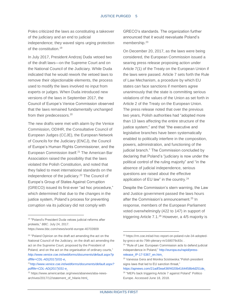Poles criticized the laws as constituting a takeover of the judiciary and an end to judicial independence; they waved signs urging protection of the constitution.<sup>19</sup>

In July 2017, President Andrzej Duda vetoed two of the draft laws—on the Supreme Court and on the National Council of the Judiciary. While Duda indicated that he would rework the vetoed laws to remove their objectionable elements, the process used to modify the laws involved no input from experts or judges. When Duda introduced new versions of the laws in September 2017, the Council of Europe's Venice Commission observed that the laws remained fundamentally unchanged from their predecessors.<sup>20</sup>

The new drafts were met with alarm by the Venice Commission, ODIHR, the Consultative Council of European Judges (CCJE), the European Network of Councils for the Judiciary (ENCJ), the Council of Europe's Human Rights Commissioner, and the European Commission itself.<sup>21</sup> The American Bar Association raised the possibility that the laws violated the Polish Constitution, and noted that they failed to meet international standards on the independence of the judiciary.<sup>22</sup> The Council of Europe's Group of States Against Corruption (GRECO) issued its first-ever "ad hoc procedure," which determined that due to the changes in the justice system, Poland's process for preventing corruption via its judiciary did not comply with

l

GRECO's standards. The organization further announced that it would reevaluate Poland's membership.<sup>23</sup>

On December 20, 2017, as the laws were being considered, the European Commission issued a searing press release proposing action under Article 7(1) of the Treaty on the European Union if the laws were passed. Article 7 sets forth the Rule of Law Mechanism, a procedure by which EU states can face sanctions if members agree unanimously that the state is committing serious violations of the values of the Union as set forth in Article 2 of the Treaty on the European Union. The press release noted that over the previous two years, Polish authorities had "adopted more than 13 laws affecting the entire structure of the justice system;" and that "the executive and legislative branches have been systematically enabled to politically interfere in the composition, powers, administration, and functioning of the judicial branch." The Commission concluded by declaring that Poland's "judiciary is now under the political control of the ruling majority" and "in the absence of judicial independence, serious questions are raised about the effective application of EU law" in the country.<sup>24</sup>

Despite the Commission's stern warning, the Law and Justice government passed the laws hours after the Commission's announcement.<sup>25</sup> In response, members of the European Parliament voted overwhelmingly (422 to 147) in support of triggering Article 7.1.<sup>26</sup> However, a 4/5 majority is

<sup>&</sup>lt;sup>19</sup> "Poland's President Duda vetoes judicial reforms after protests," *BBC*. July 24, 2017.

<https://www.bbc.com/news/world-europe-40703909>

<sup>&</sup>lt;sup>20</sup> "Poland Opinion on the draft act amending the act on the National Council of the Judiciary, on the draft act amending the act on the Supreme Court, proposed by the President of Poland, and on the act on the organisation of ordinary courts," *[http://www.venice.coe.int/webforms/documents/default.aspx?p](http://www.venice.coe.int/webforms/documents/default.aspx?pdffile=CDL-AD(2017)031-e) [dffile=CDL-AD\(2017\)031-e](http://www.venice.coe.int/webforms/documents/default.aspx?pdffile=CDL-AD(2017)031-e)*.

<sup>21</sup>*[http://www.venice.coe.int/webforms/documents/default.aspx?](http://www.venice.coe.int/webforms/documents/default.aspx?pdffile=CDL-AD(2017)031-e) [pdffile=CDL-AD\(2017\)031-e](http://www.venice.coe.int/webforms/documents/default.aspx?pdffile=CDL-AD(2017)031-e)*.

<sup>22</sup> [https://www.americanbar.org/news/abanews/aba-news](https://www.americanbar.org/news/abanews/aba-news-archives/2017/12/statement_of_hilarie.html)[archives/2017/12/statement\\_of\\_hilarie.html.](https://www.americanbar.org/news/abanews/aba-news-archives/2017/12/statement_of_hilarie.html)

<sup>23</sup> [https://rm.coe.int/ad-hoc-report-on-poland-rule-34-adopted](https://rm.coe.int/ad-hoc-report-on-poland-rule-34-adopted-by-greco-at-its-79th-plenary-m/168079c83c)[by-greco-at-its-79th-plenary-m/168079c83c](https://rm.coe.int/ad-hoc-report-on-poland-rule-34-adopted-by-greco-at-its-79th-plenary-m/168079c83c) .

<sup>&</sup>lt;sup>24</sup> "Rule of Law: European Commission acts to defend judicial independence in Poland," [http://europa.eu/rapid/press](http://europa.eu/rapid/press-release_IP-17-5367_en.htm)[release\\_IP-17-5367\\_en.htm.](http://europa.eu/rapid/press-release_IP-17-5367_en.htm)

<sup>25</sup> Vanessa Gera and Monika Scislowska."Polish president signs laws that led to EU sanction threat."

[https://apnews.com/21adf3ea436f4020b4164458b4d251de.](https://apnews.com/21adf3ea436f4020b4164458b4d251de) 26 "MEPs back triggering Article 7 against Poland" Politico Europe. Accessed June 18, 2018.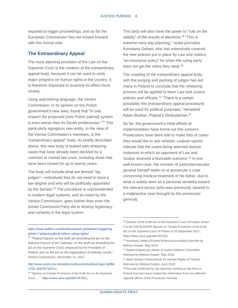required to trigger proceedings, and so far the European Commission has not moved forward with this formal vote.

## **The Extraordinary Appeal**

The most alarming provision of the Law on the Supreme Court is the creation of the extraordinary appeal body, because it can be used to undo major progress on human rights in the country. It is therefore important to examine its effect more closely.

Using astonishing language, the Venice Commission, in its opinion on the Polish government's new laws, found that "In one respect the proposed [new Polish judicial] system is even worse than its Soviet predecessor."<sup>27</sup> This particularly egregious new entity, in the view of the Venice Commission's members, is the "extraordinary appeal" body. As briefly described above, this new body is tasked with rehearing cases that have already been decided by a common or martial law court, including those that have been closed for up to twenty years.

The body will include what are termed "lay judges"—individuals that do not need to have a law degree and who will be politically appointed by the Senate.<sup>28</sup> The procedure is unprecedented in modern legal systems, and as noted by the Venice Commission, goes further than even the Soviet Communist Party did to destroy legitimacy and certainty in the legal system.

[https://www.politico.eu/article/european-parliament-triggering](https://www.politico.eu/article/european-parliament-triggering-article-7-poland-judicial-reform-voting-rights/)[article-7-poland-judicial-reform-voting-rights/](https://www.politico.eu/article/european-parliament-triggering-article-7-poland-judicial-reform-voting-rights/)

l

#### *[http://www.venice.coe.int/webforms/documents/default.aspx?pdffile](http://www.venice.coe.int/webforms/documents/default.aspx?pdffile=CDL-AD(2017)031-e) [=CDL-AD\(2017\)031-e.](http://www.venice.coe.int/webforms/documents/default.aspx?pdffile=CDL-AD(2017)031-e)*

This body will also have the power to "rule on the validity" of the results of elections.<sup>29</sup> "This is extreme rainy-day planning," noted journalist Konstanty Gebert, who has extensively covered the new policies put in place by Law and Justice, "an insurance policy" for when the ruling party does not get the votes they need.<sup>30</sup>

The coupling of the extraordinary appeal body with the purging and packing of judges has led many in Poland to conclude that the rehearing process will be applied to favor Law and Justice policies and officials.<sup>31</sup> "There is a certain possibility this [extraordinary appeal procedure] will be used for political purposes," remarked Adam Bodnar, Poland's Ombudsman.<sup>32</sup>

So far, the government's initial efforts at implementation have borne out this concern. Prosecutors have been told to make lists of cases they would like to see reheard. Leaked reports indicate that the cases being selected feature instances in which an opponent of Law and Justice received a favorable outcome.<sup>33</sup> In one well-known case, the minister of justice/prosecutor general himself seeks to re-prosecute a case concerning medical treatment of his father, due to what is widely seen as a personal vendetta toward the relevant doctor (who was previously cleared in a malpractice case brought by the prosecutor general).

<sup>&</sup>lt;sup>27</sup> "Poland Opinion on the draft act amending the act on the National Council of the Judiciary, on the draft act amending the act on the Supreme Court, proposed by the President of Poland, and on the act on the organisation of ordinary courts," *Venice Commission, December 11, 2017.* 

<sup>&</sup>lt;sup>28</sup> "Opinion on Certain Provisions of the Draft Act on the Supreme Court …,"[. https://www.osce.org/odihr/357621.](https://www.osce.org/odihr/357621)

<sup>&</sup>lt;sup>29</sup> Extracts of the Draft Act on the Supreme Court of Poland, Annex 2 to the OSCE/ODIHR Opinion on Certain Provisions of the Draft Act on the Supreme Court of Poland of 26 September 2017, [https://www.osce.org/odihr/357621.](https://www.osce.org/odihr/357621) 

<sup>30</sup> Konstanty Gebert (Gazeta Wyborcza journalist) interview by Melissa Hooper, May 2018.

<sup>31</sup> Sylwia Gregorczyk-Abram of Justice Defence Committee, interview by Melissa Hooper, May 2018.

<sup>32</sup> Adam Bodnar (Ombudsman for Human Rights of Poland), Interview by Melissa Hooper, June 2018.

<sup>33</sup>This was confirmed by two attorneys working in law firms in Poland that have been leaked this information from two different regional offices of the Prosecutor General.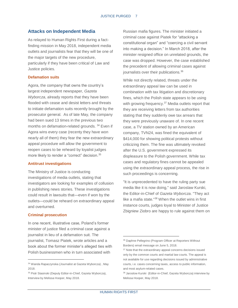### **Attacks on Independent Media**

As relayed to Human Rights First during a factfinding mission in May 2018, independent media outlets and journalists fear that they will be one of the major targets of the new procedure, particularly if they have been critical of Law and Justice policies.

#### **Defamation suits**

Agora, the company that owns the country's largest independent newspaper, *Gazeta Wyborcza*, already reports that they have been flooded with cease and desist letters and threats to initiate defamation suits recently brought by the prosecutor general. As of late May, the company had been sued 13 times in the previous two months on defamation-related grounds. <sup>34</sup> Even if Agora wins every case (recenty they have won nearly all of them) they fear the new extraordinary appeal procedure will allow the government to reopen cases to be reheard by loyalist judges more likely to render a "correct" decision.<sup>35</sup>

#### **Antitrust investigations**

The Ministry of Justice is conducting investigations of media outlets, stating that investigators are looking for examples of collusion in publishing news stories. These investigations could result in lawsuits that—even if won by the outlets—could be reheard on extraordinary appeal and overturned.

#### **Criminal prosecution**

l

In one recent, illustrative case, Poland's former minister of justice filed a criminal case against a journalist in lieu of a defamation suit. The journalist, Tomasz Piatek, wrote articles and a book about the former minister's alleged ties with Polish businessmen who in turn associated with

Russian mafia figures. The minister initiated a criminal case against Piatek for "attacking a constitutional organ" and "coercing a civil servant into making a decision." In March 2018, after the minister resigned office on unrelated grounds, the case was dropped. However, the case established the precedent of allowing criminal cases against journalists over their publications.<sup>36</sup>

While not directly related, threats under the extraordinary appeal law can be used in combination with tax litigation and discretionary fines, which the Polish state appears to be using with growing frequency.<sup>37</sup> Media outlets report that they are receiving letters from tax authorities stating that they suddenly owe tax arrears that they were previously unaware of. In one recent case, a TV station owned by an American company, TVN24, was fined the equivalent of \$414,000 for showing political protests without criticizing them. The fine was ultimately revoked after the U.S. government expressed its displeasure to the Polish government. While tax cases and regulatory fines cannot be appealed using the extraordinary appeal process, the rise in such proceedings is concerning.

"It is unprecedented to have the ruling party sue media like it is now doing," said Jaroslaw Kurski, the Editor-in-Chief of *Gazeta Wyborcza*. "They act like a mafia state."<sup>38</sup> When the outlet wins in first instance courts, judges loyal to Minister of Justice Zbigniew Ziobro are happy to rule against them on

<sup>34</sup> Wanda Rapaczynska (Journalist at Gazeta Wyborcza) , May 2018.

<sup>35</sup> Piotr Stasinski (Deputy Editor-in-Chief, Gazeta Wyborcza), Interview by Melissa Hooper, May 2018.

<sup>36</sup> Daphne Pellegrino (Program Officer at Reporters Without Borders) email message on June 5, 2018.

<sup>&</sup>lt;sup>37</sup> Note that the extraordinary appeal concerns decisions issued only by the common courts and martial law courts. The appeal is not available for use regarding decisions issued by administrative courts, i.e. cases concerning taxes, access to public information, and most asylum-related cases.

<sup>38</sup> Jaroslow Kurski (Editor-in-Chief, Gazeta Wyborcza) interview by Melissa Hooper, May 2018.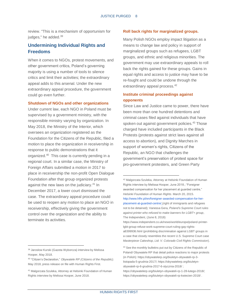review. "This is a mechanism of opportunism for judges," he added.<sup>39</sup>

# **Undermining Individual Rights and Freedoms**

When it comes to NGOs, protest movements, and other government critics, Poland's governing majority is using a number of tools to silence critics and limit their activities; the extraordinary appeal adds to this arsenal. Under the new extraordinary appeal procedure, the government could go even further.

#### **Shutdown of NGOs and other organizations**

Under current law, each NGO in Poland must be supervised by a government ministry, with the responsible ministry varying by organization. In May 2018, the Ministry of the Interior, which oversees an organization registered as the Foundation for the Citizens of the Republic, filed a motion to place the organization in receivership in response to public demonstrations that it organized.<sup>40</sup> This case is currently pending in a regional court. In a similar case, the Ministry of Foreign Affairs submitted a motion in 2017 to place in receivership the non-profit Open Dialogue Foundation after that group organized protests against the new laws on the judiciary.<sup>41</sup> In December 2017, a lower court dismissed the case. The extraordinary appeal procedure could be used to reopen any motion to place an NGO in receivership, effectively giving the government control over the organization and the ability to terminate its activities.

l

#### **Roll back rights for marginalized groups.**

Many Polish NGOs employ impact litigation as a means to change law and policy in support of marginalized groups such as refugees, LGBT groups, and ethnic and religious minorities. The government may use extraordinary appeals to roll back the rights gained for these groups. Gains in equal rights and access to justice may have to be re-fought and could be undone through the extraordinary appeal process.<sup>42</sup>

## **Institute criminal proceedings against opponents**

Since Law and Justice came to power, there have been more than one hundred detentions and criminal cases filed against individuals that have spoken out against government policies.<sup>43</sup> Those charged have included participants in the Black Protests (protests against strict laws against all access to abortion), and Dignity Marches in support of women's rights, Citizens of the Republic, an NGO that challenges the government's preservation of protest space for pro-government protesters, and Green Party

<sup>39</sup> Jaroslow Kurski (Gazeta Wyborcza) interview by Melissa Hooper, May 2018.

<sup>40</sup> "Citizen's Declaration," *Obywatele RP (Citizens of the Republic).*  May 2018, press release on file with Human Rights First.

<sup>41</sup> Malgorzata Szuleka, Attorney at Helsinki Foundation of Human Rights interview by Melissa Hooper, June 2018.

<sup>42</sup> Malgorzata Szuleka, Attorney at Helsinki Foundation of Human Rights interview by Melissa Hooper, June 2018.; "Foreigner awarded compensation for her placement at guarded centre," *Helsinki Foundation of Human Rights*. March 20, 2015. [http://www.hfhr.pl/en/foreigner-awarded-compensation-for-her](http://www.hfhr.pl/en/foreigner-awarded-compensation-for-her-placement-at-guarded-centre/)[placement-at-guarded-centre/](http://www.hfhr.pl/en/foreigner-awarded-compensation-for-her-placement-at-guarded-centre/) (right of immigrants and refugees not to be detained); Vanessa Gera, *Poland's Supreme Court rules against printer who refused to make banners for LGBT+ group*, The Independent, (June 8, 2018)

[https://www.independent.co.uk/news/world/europe/poland-printer](https://www.independent.co.uk/news/world/europe/poland-printer-lgbt-group-refuse-work-supreme-court-ruling-gay-rights-a8399936.html)[lgbt-group-refuse-work-supreme-court-ruling-gay-rights](https://www.independent.co.uk/news/world/europe/poland-printer-lgbt-group-refuse-work-supreme-court-ruling-gay-rights-a8399936.html)[a8399936.html](https://www.independent.co.uk/news/world/europe/poland-printer-lgbt-group-refuse-work-supreme-court-ruling-gay-rights-a8399936.html) (prohibiting discrimination against LGBT groups in a case that closely resembles the recent U.S. Supreme Court case *Masterpiece Cakeshop, Ltd. V. Colorado Civil Rights Commission*).

<sup>43</sup> See the monthly bulletins put out by Citizens of the Republic of Poland/ Obywatele RP that detail police reactions to major protests (in Polish)[: https://obywatelerp.org/biuletyn-obywateli-rp-3](https://obywatelerp.org/biuletyn-obywateli-rp-3-listopada-5-grudnia-2017/) [listopada-5-grudnia-2017/;](https://obywatelerp.org/biuletyn-obywateli-rp-3-listopada-5-grudnia-2017/) [https://obywatelerp.org/biuletyn](https://obywatelerp.org/biuletyn-obywateli-rp-6-grudnia-2017-6-stycznia-2018/)[obywateli-rp-6-grudnia-2017-6-stycznia-2018/](https://obywatelerp.org/biuletyn-obywateli-rp-6-grudnia-2017-6-stycznia-2018/) ; [https://obywatelerp.org/biuletyn-obywateli-rp-1-28-lutego-2018/;](https://obywatelerp.org/biuletyn-obywateli-rp-1-28-lutego-2018/) 

<https://obywatelerp.org/biuletyn-obywateli-rp-kwiecien-2018/> .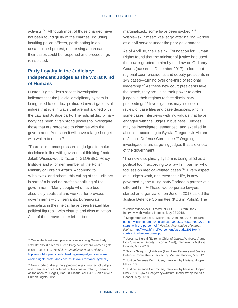activists.<sup>44</sup> Although most of those charged have not been found guilty of the charges, including insulting police officers, participating in an unsanctioned protest, or crossing a barricade, their cases could be reopened and proceedings reinstituted.

# **Party Loyalty in the Judiciary: Independent Judges as the Worst Kind of Humans**

Human Rights First's recent investigation indicates that the judicial disciplinary system is being used to conduct politicized investigations of judges that rule in ways that are not aligned with the Law and Justice party. The judicial disciplinary body has been given broad powers to investigate those that are perceived to disagree with the government. And soon it will have a large budget with which to do so.<sup>45</sup>

"There is immense pressure on judges to make decisions in line with government thinking," noted Jakub Wisniewski, Director of GLOBSEC Policy Institute and a former member of the Polish Ministry of Foreign Affairs. According to Wisniewski and others, this culling of the judiciary is part of a broad de-professionalizing of the government. "Many people who have been absolutely apolitical and worked for previous governments – civil servants, bureaucrats, specialists in their fields, have been treated like political figures – with distrust and discrimination. A lot of them have either left or been

marginalized...some have been sacked."<sup>46</sup> Wisniewski himself was let go after having worked as a civil servant under the prior government.

As of April 30, the Helsinki Foundation for Human Rights found that the minister of justice had used the power granted to him by the Law on Ordinary Courts (passed in December 2017) to force out regional court presidents and deputy presidents in 149 cases—turning over one-third of regional leadership.<sup>47</sup> As these new court presidents take the bench, they are using their power to order judges in their regions to face disciplinary proceedings.<sup>48</sup> Investigations may include a review of case files and case decisions, and in some cases interviews with individuals that have engaged with the judges in business. Judges may be investigated, sentenced, and expelled in absentia, according to Sylwia Gregorczyk-Abram of Justice Defence Committee.<sup>49</sup> Ongoing investigations are targeting judges that are critical of the government.

"The new disciplinary system is being used as a political tool," according to a law firm partner who focuses on medical-related cases.<sup>50</sup> "Every aspect of a judge's work, and even their life, is now governed by the ruling party," added a partner at a different firm.<sup>51</sup> These two corporate lawyers started an organization on June 4, 2018 called the Justice Defence Committee (KOS in Polish). The

 $\overline{\phantom{a}}$ 

<sup>44</sup> One of the latest examples is a case involving Green Party activists: "Court rules for Green Party activists: pro-women rights poster does not ...." *Helsinki Foundation of Human Rights.*  [http://www.hfhr.pl/en/court-rules-for-green-party-activists-pro](http://www.hfhr.pl/en/court-rules-for-green-party-activists-pro-women-rights-poster-does-not-insult-ww2-resistance-symbol/)[women-rights-poster-does-not-insult-ww2-resistance-symbol/.](http://www.hfhr.pl/en/court-rules-for-green-party-activists-pro-women-rights-poster-does-not-insult-ww2-resistance-symbol/)

<sup>45</sup> New mode of disciplinary proceedings in respect of judges and members of other legal professions in Poland, Themis Association of Judges, Dariusz Mazur, April 2018 (on file with Human Rights First).

<sup>46</sup> Jakub Wisnewski, Director of GLOBSEC think tank, Interview with Melissa Hooper, May 23 2018.

<sup>47</sup> Małgorzata Szuleka.Twitter Post. April 30, 2018. 4:51am. [https://twitter.com/m\\_szuleka/status/990917495337910272.](https://twitter.com/m_szuleka/status/990917495337910272); "It starts with the personnel." *Helsinki Foundation of Human Rights.* [http://www.hfhr.pl/wp-content/uploads/2018/04/It](http://www.hfhr.pl/wp-content/uploads/2018/04/It-starts-with-the-personnel.pdf)[starts-with-the-personnel.pdf.](http://www.hfhr.pl/wp-content/uploads/2018/04/It-starts-with-the-personnel.pdf)

<sup>48</sup> Jaroslaw Kurski (Editor in Chief of Gazeta Wyborcza) and Piotr Stasinski (Deputy Editor in Chief), interview by Melissa Hooper, May 2018.

<sup>49</sup> Sylwia Gregorczyk-Abram (Law Firm Partner) and Justice Defence Committee, interview by Melissa Hooper, May 2018.

<sup>50</sup> Justice Defense Committee, Interview by Melissa Hooper, May 2018.

<sup>51</sup> Justice Defence Committee, Interview by Melissa Hooper, May 2018; Sylwia Gregorczyk-Abram, Interview by Melissa Hooper, May 2018.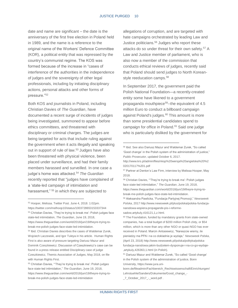l

date and name are significant – the date is the anniversary of the first free election in Poland held in 1989, and the name is a reference to the original name of the Workers' Defence Committee (KOR), a political entity that was repressed by the country's communist regime. The KOS was formed because of the increase in "cases of interference of the authorities in the independence of judges and the sovereignty of other legal professionals, including by initiating disciplinary actions, personal attacks and other forms of pressure."<sup>52</sup>

Both KOS and journalists in Poland, including Christian Davies of *The Guardian*, have documented a recent surge of incidents of judges being investigated, summoned to appear before ethics committees, and threatened with disciplinary or criminal charges. The judges are being targeted for acts that include ruling against the government when it acts illegally and speaking out in support of rule of law.<sup>53</sup> Judges have also been threatened with physical violence, been placed under surveillance, and had their family members harassed and surveilled. In one case a judge's home was attacked.<sup>54</sup> The Guardian recently reported that "judges have complained of a 'state-led campaign of intimidation and harassment," <sup>55</sup> in which they are subjected to

l

allegations of corruption, and are targeted with hate campaigns orchestrated by leading Law and Justice politicians.<sup>56</sup> Judges who report these attacks do so under threat for their own safety.<sup>57</sup> A Law and Justice member of parliament, who is also now a member of the commission that conducts ethical reviews of judges, recently said that Poland should send judges to North Koreanstyle reeducation camps.<sup>58</sup>

In September 2017, the government paid the Polish National Foundation—a recently-created entity some have likened to a government propaganda mouthpiece<sup>59</sup>--the equivalent of 4.5 million Euro to conduct a billboard campaign against Poland's judges.<sup>60</sup> This amount is more than some presidential candidates spend to campaign for office in Poland.<sup>61</sup> Said one judge who is particularly disliked by the government for

<sup>52</sup> Hooper, Melissa. Twitter Post. June 4, 2018. 1:02pm. <https://twitter.com/melhoop10/status/1003728653153337344> <sup>53</sup> Christian Davies, 'They're trying to break me': Polish judges face state-led intimidation, *The Guardian*, June 19, 2018, [https://www.theguardian.com/world/2018/jun/19/theyre-trying-to](https://www.theguardian.com/world/2018/jun/19/theyre-trying-to-break-me-polish-judges-face-state-led-intimidation)[break-me-polish-judges-face-state-led-intimidation.](https://www.theguardian.com/world/2018/jun/19/theyre-trying-to-break-me-polish-judges-face-state-led-intimidation) <sup>54</sup> Ibid. Christian Davies describes the cases of Waldemar Zurek, Wojciech Laczewski, and Igor Tuleya in his article. Human Rights First is also aware of pressure targeting Dariusz Mazur and Dominik Czeszkiewicz. Discussion of Czeszkiewicz's case can be found in a press release entitled Disciplinary case of judge Czeszkiewicz, Themis Association of Judges, May 2018, on file with Human Rights First.

<sup>55</sup> Christian Davies, "'They're trying to break me': Polish judges face state-led intimidation," *The Guardian*, June 19, 2018, [https://www.theguardian.com/world/2018/jun/19/theyre-trying-to](https://www.theguardian.com/world/2018/jun/19/theyre-trying-to-break-me-polish-judges-face-state-led-intimidation)[break-me-polish-judges-face-state-led-intimidation](https://www.theguardian.com/world/2018/jun/19/theyre-trying-to-break-me-polish-judges-face-state-led-intimidation)

<sup>56</sup> Ibid. See also Dariusz Mazur and Waldemar Zurek, "So called 'Good change' in the Polish system of the administration of justice," *Public Prosecutor*, updated October 6, 2017.

[http://www.krs.pl/admin/files/nksp%20wersja%20angielska%20%2](http://www.krs.pl/admin/files/nksp%20wersja%20angielska%20%2020170117%201.pdf) [020170117%201.pdf](http://www.krs.pl/admin/files/nksp%20wersja%20angielska%20%2020170117%201.pdf)

<sup>57</sup> Partner at Denton's Law Firm, interview by Melissa Hooper, May 2018.

<sup>58</sup> Christian Davies, "'They're trying to break me': Polish judges face state-led intimidation," *The Guardian*, June 19, 2018, [https://www.theguardian.com/world/2018/jun/19/theyre-trying-to](https://www.theguardian.com/world/2018/jun/19/theyre-trying-to-break-me-polish-judges-face-state-led-intimidation)[break-me-polish-judges-face-state-led-intimidation.](https://www.theguardian.com/world/2018/jun/19/theyre-trying-to-break-me-polish-judges-face-state-led-intimidation)

<sup>59</sup> Aleksandra Pawlicka, "Fundacja Partyjnej Promocji," *Newsweek Polska*, 201[7 http://www.newsweek.pl/plus/polska/polska-fundacja](http://www.newsweek.pl/plus/polska/polska-fundacja-narodowa-wspiera-propagande-pis-i-reforme-sadow,artykuly,416121,1,z.html)[narodowa-wspiera-propagande-pis-i-reforme](http://www.newsweek.pl/plus/polska/polska-fundacja-narodowa-wspiera-propagande-pis-i-reforme-sadow,artykuly,416121,1,z.html)[sadow,artykuly,416121,1,z.html.](http://www.newsweek.pl/plus/polska/polska-fundacja-narodowa-wspiera-propagande-pis-i-reforme-sadow,artykuly,416121,1,z.html)

<sup>&</sup>lt;sup>60</sup> The Foundation, funded by mandatory grants from state-owned companies, has a total budget of \$200 million Polish zloty, or \$54 million, which is more than any other NGO or quasi-NGO has ever received in Poland. Marcin Antosiewicz, "Nareszcie wiemy, ile pieniedzy ma PFN i na co dokladnie je wydaje," *Newsweek Polska*, (April 23, 2018[\) http://www.newsweek.pl/polska/polityka/polska](http://www.newsweek.pl/polska/polityka/polska-fundacja-narodowa-jakim-budzetem-dysponuje-i-na-co-go-wydaje-,artykuly,426363,1.html)[fundacja-narodowa-jakim-budzetem-dysponuje-i-na-co-go-wydaje-](http://www.newsweek.pl/polska/polityka/polska-fundacja-narodowa-jakim-budzetem-dysponuje-i-na-co-go-wydaje-,artykuly,426363,1.html) [,artykuly,426363,1.html](http://www.newsweek.pl/polska/polityka/polska-fundacja-narodowa-jakim-budzetem-dysponuje-i-na-co-go-wydaje-,artykuly,426363,1.html) (in Polish).

<sup>61</sup> Dariusz Mazur and Waldemar Zurek, "So called 'Good change' in the Polish system of the administration of justice, Bonn University, [https://www.jura.uni-](https://www.jura.uni-bonn.de/fileadmin/Fachbereich_Rechtswissenschaft/Einrichtungen/Lehrstuehle/Sanders/Dokumente/Good_change_-_7_October_2017_-_word.pdf)

[bonn.de/fileadmin/Fachbereich\\_Rechtswissenschaft/Einrichtungen/](https://www.jura.uni-bonn.de/fileadmin/Fachbereich_Rechtswissenschaft/Einrichtungen/Lehrstuehle/Sanders/Dokumente/Good_change_-_7_October_2017_-_word.pdf) [Lehrstuehle/Sanders/Dokumente/Good\\_change\\_-](https://www.jura.uni-bonn.de/fileadmin/Fachbereich_Rechtswissenschaft/Einrichtungen/Lehrstuehle/Sanders/Dokumente/Good_change_-_7_October_2017_-_word.pdf) [\\_7\\_October\\_2017\\_-\\_word.pdf](https://www.jura.uni-bonn.de/fileadmin/Fachbereich_Rechtswissenschaft/Einrichtungen/Lehrstuehle/Sanders/Dokumente/Good_change_-_7_October_2017_-_word.pdf) .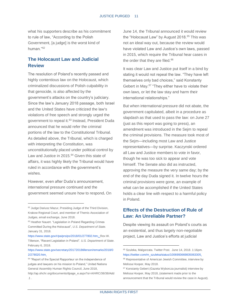what his supporters describe as his commitment to rule of law, "According to the Polish Government, [a judge] is the worst kind of human."<sup>62</sup>

## **The Holocaust Law and Judicial Review**

The resolution of Poland's recently passed and highly contentious law on the Holocaust, which criminalized discussions of Polish culpability in that genocide, is also affected by the government's attacks on the country's judiciary. Since the law's January 2018 passage, both Israel and the United States have criticized the law's violations of free speech and strongly urged the government to repeal it.<sup>63</sup> Instead, President Duda announced that he would refer the criminal portions of the law to the Constitutional Tribunal. As detailed above, the Tribunal, which is charged with interpreting the Constitution, was unconstitutionally placed under political control by Law and Justice in 2015.<sup>64</sup> Given this state of affairs, it was highly likely the Tribunal would have ruled in accordance with the government's wishes.

However, even after Duda's announcement, international pressure continued and the government seemed unsure how to respond**.** On

l

[https://www.state.gov/r/pa/prs/ps/2018/01/277802.htm.;](https://www.state.gov/r/pa/prs/ps/2018/01/277802.htm) Rex W. Tillerson, "Recent Legislation in Poland". *U.S. Department of State.*  February 6, 2018.

June 14, the Tribunal announced it would review the "Holocaust Law" by August 2018.<sup>65</sup> This was not an ideal way out, because the review would have violated Law and Justice's own laws, passed in 2015, which require the Tribunal hear cases in the order that they are filed.<sup>66</sup>

It was clear Law and Justice put itself in a bind by stating it would not repeal the law. "They have left themselves only bad choices," said Konstanty Gebert in May.<sup>67</sup> "They either have to violate their own laws, or let the law stay and harm their international relationships."

But when international pressure did not abate, the government capitulated, albeit in a procedure as slapdash as that used to pass the law: on June 27 (just as this report was going to press), an amendment was introduced in the Sejm to repeal the criminal provisions. The measure took most of the Sejm—including most Law and Justice representatives—by surprise. Kaczynski ordered all Law and Justice members to vote in favor, though he was too sick to appear and vote himself. The Senate also did as instructed, approving the measure the very same day; by the end of the day Duda signed it. In twelve hours the criminal provisions were gone, an example of what can be accomplished if the United States holds a clear line with respect to a harmful policy in Poland.

# **Effects of the Destruction of Rule of Law: An Unreliable Partner?**

Despite viewing its assault on Poland's courts as an existential, and thus largely non-negotiable project, Law and Justice's efforts at judicial

<sup>&</sup>lt;sup>62</sup> Judge Dariusz Mazur, Presiding Judge of the Third Division, Krakow Regional Court, and member of Themis Association of Judges, email exchange, June 2018.

<sup>63</sup> Heather Nauert. "Legislation in Poland Regarding Crimes Committed During the Holocaust", *U.S. Department of State.*  January 31, 2018.

[https://www.state.gov/secretary/20172018tillerson/remarks/2018/0](https://www.state.gov/secretary/20172018tillerson/remarks/2018/02/278020.htm) [2/278020.htm.](https://www.state.gov/secretary/20172018tillerson/remarks/2018/02/278020.htm)

<sup>&</sup>lt;sup>64</sup> "Report of the Special Rapporteur on the independence of judges and lawyers on his mission to Poland," United Nations General Assembly Human Rights Council, June 2018, [http://ap.ohchr.org/documents/dpage\\_e.aspx?si=A/HRC/38/38/Add](http://ap.ohchr.org/documents/dpage_e.aspx?si=A/HRC/38/38/Add.1) [.1](http://ap.ohchr.org/documents/dpage_e.aspx?si=A/HRC/38/38/Add.1) .

<sup>65</sup> Szuleka, Malgorzata. Twitter Post. June 14, 2018. 1:16pm. [https://twitter.com/m\\_szuleka/status/1006993669835063305.](https://twitter.com/m_szuleka/status/1006993669835063305)

<sup>66</sup> Representative of American Jewish Committee, interview by Melissa Hooper, May 2018.

<sup>67</sup> Konstanty Gebert (Gazeta Wyborcza journalist) interview by Melissa Hooper, May 2018, (statement made prior to the announcement that the Tribunal would review the case in August).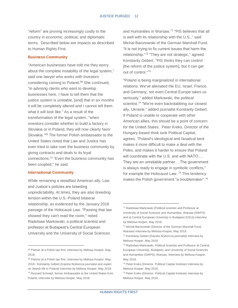"reform" are proving increasingly costly to the country in economic, political, and diplomatic terms. Described below are impacts as described to Human Rights First.

#### **Business Community**

"American businesses have told me they worry about the complete instability of the legal system," said one lawyer who works with investors considering coming to Poland.<sup>68</sup> She continued, "in advising clients who want to develop businesses here, I have to tell them that the justice system is unstable, [and] that in six months it will be completely altered and I cannot tell them what it will look like." As a result of the transformation of the legal system, "when investors consider whether to build a factory in Slovakia or in Poland, they will now clearly favor Slovakia."<sup>69</sup> The former Polish ambassador to the United States noted that Law and Justice has even tried to take over the business community by giving contracts and deals to its loyal connections.<sup>70</sup> "Even the business community has been coopted," he said.

#### **International Community**

l

While remaining a steadfast American ally, Law and Justice's policies are breeding unpredictability. At times, they are also breeding tension within the U.S.-Poland bilateral relationship, as evidenced by the January 2018 passage of the Holocaust Law. "Passing that law showed they can't read the room," noted Radolsaw Markowski, a political scientist and professor at Budapest's Central European University and the University of Social Sciences

<sup>68</sup> Partner at a Polish law firm, interview by Melissa Hooper, May 2018.

and Humanities in Warsaw.<sup>71</sup> "PiS believes that all is well with its relationship with the U.S.," said Michal Baronowski of the German Marshall Fund. "It is not trying to fix current issues that harm the relationship."<sup>72</sup> "They are not strategic," agreed Konstanty Gebert. "PiS thinks they can control [the reform of the justice system], but it can get out of control."<sup>73</sup>

"Poland is being marginalized in international relations. We've alienated the EU, Israel, France, and Germany; not even Central Europe takes us seriously," added Markowski, the political scientist.<sup>74</sup> "We're even backstabbing our closest ally, Ukraine," added journalist Konstanty Gebert. If Poland is unable to cooperate with other American allies, this should be a point of concern for the United States. Peter Kreko, Director of the Hungary-based think tank Political Capital, agrees. "Poland's ideological and fanatical bent makes it more difficult to make a deal with the Poles, and makes it harder to ensure that Poland will coordinate with the U.S. and with NATO…. They are an unreliable partner.…The government is always ready to engage in symbolic conflicts," for example the Holocaust Law. <sup>75</sup> This tendency makes the Polish government "a troublemaker".<sup>76</sup>

<sup>69</sup> Partner at a Polish law firm, interview by Melissa Hooper, May 2018.; Konstanty Gebert (Gazeta Wyborcza journalist and expert on Jewish life in Poland) interview by Melissa Hooper, May 2018. <sup>70</sup> Ryszard Schnepf, former Ambassador to the United States from Poland, interview by Melissa Hooper, May 2018.

<sup>71</sup> Radolsaw Markowski (Political scientist and Professor at University of Social Sciences and Humanities, Warsaw (SWPS) and at Central European University in Budapest (CEU)) interview by Melissa Hooper, May 2018.

<sup>72</sup> Michal Baronowski (Director of the German Marshall Fund, Warsaw) interview by Melissa Hooper, May 2018.

<sup>73</sup> Konstanty Gebert (Gazeta Wyborcza journalist) interview by Melissa Hooper, May 2018.

<sup>74</sup> Radoslaw Markowski, Political Scientist and Professor at Central European University, Budapest, and University of Social Sciences and Humanities (SWPS), Warsaw, Interview by Melissa Hooper, May 2018.

<sup>75</sup> Peter Kreko (Director, Political Capital Institute) interview by Melissa Hooper, May 2018.

<sup>76</sup> Peter Kreko (Director, Political Capital Institute) interview by Melissa Hooper, May 2018.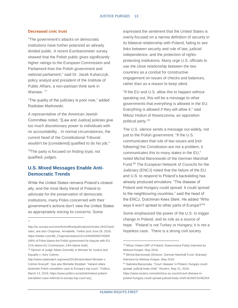#### **Decreased civic trust**

"The government's attacks on democratic institutions have further polarized an already divided public. A recent Eurobarometer survey showed that the Polish public gives significantly higher ratings to the European Commission and Parliament than the Polish government and national parliament," said Dr. Jacek Kuharczyk, policy analyst and president of the Institute of Public Affairs, a non-partisan think tank in Warsaw.<sup>77</sup>

"The quality of the judiciary is poor now," added Radislaw Markowski.

A representative of the American Jewish Committee noted, "[Law and Justice] policies give too much discretionary power to individuals with no accountability…In normal circumstances, the current head of the Constitutional Tribunal wouldn't be [considered] qualified to do his job."

<sup>78</sup>The party is focused on finding loyal, not qualified, judges.

# **U.S. Mixed Messages Enable Anti-Democratic Trends**

While the United States remains Poland's closest ally, and the most likely friend of Poland to advocate for the preservation of democratic institutions, many Poles concerned with their government's actions don't view the United States as appropriately voicing its concerns. Some

l 77 expressed the sentiment that the United States is overly-focused on a narrow definition of security in its bilateral relationship with Poland, failing to see links between security and rule of law, judicial independence, and the protection of rightsprotecting institutions. Many urge U.S. officials to use the close relationship between the two countries as a conduit for constructive engagement on issues of checks and balances, rather than as a reason to keep silent.

"If the EU and U.S. allow this to happen without speaking out, this will be a message to other governments that everything is allowed in the EU. Everything is allowed if they will allow it," said Milosz Hodun of Nowoczesna, an opposition political party.<sup>79</sup>

The U.S. silence sends a message out widely, not just to the Polish government. "If the U.S. communicates that rule of law issues and [not following] the Constitution are not a problem, it communicates this to many states in the EU," noted Michal Baronowski of the German Marshall Fund.<sup>80</sup> The European Network of Councils for the Judiciary (ENCJ) noted that the failure of the EU and U.S. to respond to Poland's backsliding has already produced emulators. "The disease of Poland and Hungary could spread. It could spread to the neighbouring countries," said the head of the ENCJ, Dutchman Kees Sterk. He added "Who says it won't spread to other parts of Europe?"81

Some emphasized the power of the U.S. to trigger change in Poland, and its role as a source of hope. "Poland is not Turkey or Hungary; it is not a hopeless case. There is a strong civil society

[poland-hungary-could-spread-judicial-body-chief-idUSKCN1IW2KK](https://www.reuters.com/article/us-eu-courts/court-disease-in-poland-hungary-could-spread-judicial-body-chief-idUSKCN1IW2KK)

[http://ec.europa.eu/commfrontoffice/publicopinion/index.cfm/Chart/i](http://ec.europa.eu/commfrontoffice/publicopinion/index.cfm/Chart/index) [ndex;](http://ec.europa.eu/commfrontoffice/publicopinion/index.cfm/Chart/index) see also Chapman, Annabelle, Twitter post June 26, 2018, [https://twitter.com/AB\\_Chapman/status/1011546469390745600](https://twitter.com/AB_Chapman/status/1011546469390745600) (48% of Poles blame the Polish government for dispute with EU; 21% blame EU Commission; 24% blame both).

<sup>78</sup> Opinion of Judge Aileen Donnelly in Minister for Justice and Equality v. Artur Celmer,

[http://www.statewatch.org/news/2018/mar/ireland-Minister-v-](http://www.statewatch.org/news/2018/mar/ireland-Minister-v-Celmer-final.pdf)[Celmer-final.pdf](http://www.statewatch.org/news/2018/mar/ireland-Minister-v-Celmer-final.pdf) ; See also Michelle Stoddart. "Ireland refers landmark Polish extradition case to Europe's top court," *Politico.*  March 13, 2018[, https://www.politico.eu/article/ireland-poland](https://www.politico.eu/article/ireland-poland-extradition-case-referred-to-europe-top-court-ecj/)[extradition-case-referred-to-europe-top-court-ecj/.](https://www.politico.eu/article/ireland-poland-extradition-case-referred-to-europe-top-court-ecj/)

<sup>79</sup> Milosz Hodun (MP of Poland, Nowoczesna Party) interview by Melissa Hooper, May 2018.

<sup>80</sup> Michal Baronowski (Director, German Marshall Fund, Warsaw) Interview by Melissa Hooper, May 2018.

<sup>81</sup> Gabriela Baczynska, "Court 'disease' in Poland, Hungary could spread: judicial body chief," *Reuters*, May 21, 2018, [https://www.reuters.com/article/us-eu-courts/court-disease-in-](https://www.reuters.com/article/us-eu-courts/court-disease-in-poland-hungary-could-spread-judicial-body-chief-idUSKCN1IW2KK)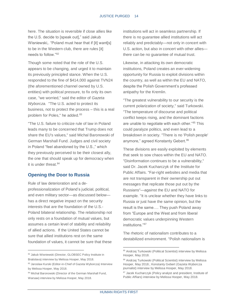here. The situation is reversible if close allies like the U.S. decide to [speak out]," said Jakub Wisniewski,. "Poland must hear that if [it] want[s] to be in the Western club, there are rules [it] needs to follow."<sup>82</sup>

Though some noted that the role of the U.S. appears to be changing, and urged it to maintain its previously principled stance. When the U.S. responded to the fine of \$414,000 against TVN24 (the aforementioned channel owned by U.S. entities) with political pressure, to fix only its own case, "we worried," said the editor of *Gazeta Wyborcza.* "The U.S. acted to protect its business, not to protect the process – this is a real problem for Poles," he added.<sup>83</sup>

"The U.S. failure to criticize rule of law in Poland leads many to be concerned that Trump does not share the EU's values," said Michal Baronowski of German Marshall Fund. Judges and civil society in Poland "feel abandoned by the U.S.," which they previously perceived to be their closest ally, the one that should speak up for democracy when it is under threat.<sup>84</sup>

## **Opening the Door to Russia**

Rule of law deterioration and a deprofessionalization of Poland's judicial, political, and even military sector—as discussed below has a direct negative impact on the security interests that are the foundation of the U.S.- Poland bilateral relationship. The relationship not only rests on a foundation of mutual values, but assumes a certain level of stability and reliability of allied actions. If the United States cannot be sure that allied institutions rest on the same foundation of values, it cannot be sure that these

l

institutions will act in seamless partnership. If there is no guarantee allied institutions will act reliably and predictably—not only in concert with U.S. action, but also in concert with other allies there can be no guarantee of mutual trust.

Likewise, in attacking its own democratic institutions, Poland creates an ever-widening opportunity for Russia to exploit divisions within the country, as well as within the EU and NATO, despite the Polish Government's professed antipathy for the Kremlin.

"The greatest vulnerability to our security is the current polarization of society," said Turkowski. "The temperature of discourse and political conflict keeps rising, and the dominant factions are unable to negotiate with each other."<sup>85</sup> This could paralyze politics, and even lead to a breakdown in society. "There is no 'Polish people' anymore," agreed Konstanty Gebert.<sup>86</sup>

These divisions are easily exploited by elements that seek to sow chaos within the EU and NATO. "Disinformation continues to be a vulnerability," said Dr. Jacek Kucharczyk of the Institute for Public Affairs. "Far-right websites and media that are not transparent in their ownership put out messages that replicate those put out by the Russians"—against the EU and NATO for example. "It is unclear whether they have links to Russia or just have the same opinion, but the result is the same…. They push Poland away from "Europe and the West and from liberal democratic values underpinning Western institutions."<sup>87</sup>

The rhetoric of nationalism contributes to a destabilized environment. "Polish nationalism is

<sup>82</sup> Jakub Wisniewski (Director, GLOBSEC Policy Institute in Bratislava) interview by Melissa Hooper, May 2018.

<sup>83</sup> Jaroslaw Kurski (Editor-in-Chief of Gazeta Wyborcza) Interview by Melissa Hooper, May 2018.

<sup>84</sup> Michal Baronowski (Director of the German Marshall Fund, Warsaw) interview by Melissa Hooper, May 2018.

<sup>85</sup> Andrzej Turkowski (Political Scientist) interview by Melissa Hooper, May 2018.

<sup>86</sup> Andrzej Turkowski (Political Scientist) interview by Melissa Hooper, May 2018.; Konstanty Gebert (Gazeta Wyborcza journalist) interview by Melissa Hooper, May 2018.

<sup>87</sup> Jacek Kucharczyk (Policy analyst and president, Institute of Public Affiars) interview by Melissa Hooper, May 2018.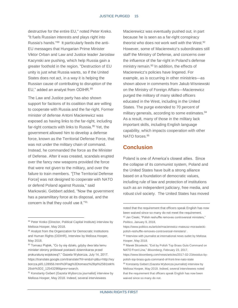destructive for the entire EU," noted Peter Kreko. "It fuels Russian interests and plays right into Russia's hands."<sup>88</sup> It particularly feeds the anti-EU messages that Hungarian Prime Minister Viktor Orban and Law and Justice leader Jaroslaw Kacynski are pushing, which help Russia gain a greater foothold in the region. "Destruction of EU unity is just what Russia wants, so if the United States does not act, in a way it is helping the Russian cause of contributing to disruption of the EU," added an analyst from ODIHR.<sup>89</sup>

The Law and Justice party has also shown support for factions of its coalition that are willing to cooperate with Russia and the far-right. Former minister of defense Antoni Macierewicz was exposed as having links to the far-right, including far-right contacts with links to Russia.<sup>90</sup> Yet, the government allowed him to develop a defense force, known as the Territorial Defense Force, that was not under the military chain of command. Instead, he commanded the force as the Minister of Defense. After it was created, scandals erupted over the fancy new weapons provided the force that were not given to the military, and over the failure to train members. "[The Territorial Defense Force] was not designed to cooperate with NATO or defend Poland against Russia," said Markowski. Gebbert added, "Now the government has a paramilitary force at its disposal, and the concern is that they could use it."<sup>91</sup>

l

Macierewicz was eventually pushed out, in part because he is seen as a far-right conspiracy theorist who does not work well with the West.<sup>92</sup> However, some of Macierewicz's subordinates still staff the Ministry of Defense, and concerns over the influence of the far-right in Poland's defense ministry remain.<sup>93</sup> In addition, the effects of Macierewicz's policies have lingered. For example, as is occurring in other ministries—as shown above in comments from Jakub Wisniewski on the Ministry of Foreign Affairs—Macierewicz purged the military of many skilled officers educated in the West, including in the United States. The purge extended to 70 percent of military generals, according to some estimates.<sup>94</sup> As a result, many of those in the military lack important skills, including English language capability, which impacts cooperation with other NATO forces.<sup>95</sup>

# **Conclusion**

Poland is one of America's closest allies. Since the collapse of its communist system, Poland and the United States have built a strong alliance based on a foundation of democratic values, including rule of law and protection of institutions such as an independent judiciary, free media, and robust civil society. The United States has moved

<sup>88</sup> Peter Kreko (Director, Political Capital Institute) interview by Melissa Hooper, May 2018.

<sup>89</sup> Analyst from the Organization for Democratic Institutions and Human Rights (ODIHR), Interview by Melissa Hooper, May 2018.

<sup>90</sup> Tomasz Piątek, "Co by się działo, gdyby dwa lata temu minister obrony próbował postawić dziennikarza przed prokuraturą wojskową?," Gazeta Wyborcza, July 14, 2017, [https://translate.google.com/translate?hl=en&sl=pl&u=http://wy](https://translate.google.com/translate?hl=en&sl=pl&u=http://wyborcza.pl/0,128956.html%3Ftag%3Dtomasz%2Bpi%25B1tek%26str%3D2_12543298&prev=search) [borcza.pl/0,128956.html%3Ftag%3Dtomasz%2Bpi%25B1tek%](https://translate.google.com/translate?hl=en&sl=pl&u=http://wyborcza.pl/0,128956.html%3Ftag%3Dtomasz%2Bpi%25B1tek%26str%3D2_12543298&prev=search) [26str%3D2\\_12543298&prev=search.](https://translate.google.com/translate?hl=en&sl=pl&u=http://wyborcza.pl/0,128956.html%3Ftag%3Dtomasz%2Bpi%25B1tek%26str%3D2_12543298&prev=search)

<sup>91</sup> Konstanty Gebert (Gazeta Wyborcza journalist) interview by Melissa Hooper, May 2018. Indeed, several interviewees

noted that the requirement that officers speak English has now been waived since so many do not meet the requirement. 92 Jan Cieski, "Polish reshuffle removes controversial ministers,"

*Politico*, January 9, 2018,

[https://www.politico.eu/article/macierewicz-mateusz-morawiecki](https://www.politico.eu/article/macierewicz-mateusz-morawiecki-polish-reshuffle-removes-controversial-ministers/)[polish-reshuffle-removes-controversial-ministers/](https://www.politico.eu/article/macierewicz-mateusz-morawiecki-polish-reshuffle-removes-controversial-ministers/) .

<sup>93</sup> Interview with journalist at international news outlet by Melissa Hooper, May 2018.

<sup>94</sup> Marek Strzelecki, "Exit by Polish Top Brass Guts Command on NATO Front Line," *Bloomberg*, February 23, 2017,

[https://www.bloomberg.com/news/articles/2017-02-23/exodus-by](https://www.bloomberg.com/news/articles/2017-02-23/exodus-by-polish-top-brass-guts-command-of-front-line-nato-state)[polish-top-brass-guts-command-of-front-line-nato-state](https://www.bloomberg.com/news/articles/2017-02-23/exodus-by-polish-top-brass-guts-command-of-front-line-nato-state)

<sup>95</sup> Konstanty Gebert (Gazeta Wyborcza journalist) interview by Melissa Hooper, May 2018. Indeed, several interviewees noted that the requirement that officers speak English has now been waived since so many do not.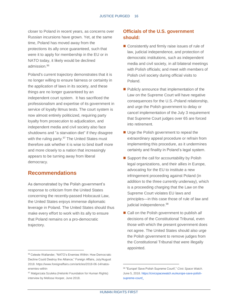closer to Poland in recent years, as concerns over Russian incursions have grown. Yet, at the same time, Poland has moved away from the protections its ally once guaranteed, such that were it to apply for membership in the EU or in NATO today, it likely would be declined admission.<sup>96</sup>

Poland's current trajectory demonstrates that it is no longer willing to ensure fairness or certainty in the application of laws in its society, and these things are no longer guaranteed by an independent court system. It has sacrificed the professionalism and expertise of its government in service of loyalty litmus tests. The court system is now almost entirely politicized, requiring party loyalty from prosecution to adjudication, and independent media and civil society also face shutdowns and "a starvation diet" if they disagree with the ruling party.<sup>97</sup> The United States must therefore ask whether it is wise to bind itself more and more closely to a nation that increasingly appears to be turning away from liberal democracy.

# **Recommendations**

l

As demonstrated by the Polish government's response to criticism from the United States concerning the recently-passed Holocaust Law, the United States enjoys immense diplomatic leverage in Poland. The United States should thus make every effort to work with its ally to ensure that Poland remains on a pro-democratic trajectory.

# **Officials of the U.S. government should:**

- Consistently and firmly raise issues of rule of law, judicial independence, and protection of democratic institutions, such as independent media and civil society, in all bilateral meetings with Polish officials; and meet with members of Polish civil society during official visits to Poland.
- Publicly announce that implementation of the Law on the Supreme Court will have negative consequences for the U.S.-Poland relationship, and urge the Polish government to delay or cancel implementation of the July 3 requirement that Supreme Court judges over 65 are forced into retirement.
- Urge the Polish government to repeal the extraordinary appeal procedure or refrain from implementing this procedure, as it undermines certainty and finality in Poland's legal system.
- Support the call for accountability by Polish legal organizations, and their allies in Europe, advocating for the EU to institute a new infringement proceeding against Poland (in addition to the three currently underway), which is a proceeding charging that the Law on the Supreme Court violates EU laws and principles—in this case those of rule of law and judicial independence.<sup>98</sup>
- Call on the Polish government to publish *all* decisions of the Constitutional Tribunal, even those with which the present government does not agree. The United States should also urge the Polish government to remove judges from the Constitutional Tribunal that were illegally appointed.

<sup>96</sup> Celeste Wallander, "NATO's Enemies Within: How Democratic Decline Could Destroy the Alliance," Foreign Affairs, July/August 2018[. https://www.foreignaffairs.com/articles/2018-06-14/natos](https://www.foreignaffairs.com/articles/2018-06-14/natos-enemies-within)[enemies-within](https://www.foreignaffairs.com/articles/2018-06-14/natos-enemies-within)

<sup>97</sup> Malgorzata Szuleka (Helsinki Foundation for Human Rights) interview by Melissa Hooper, June 2018.

<sup>98</sup> "Europe! Save Polish Supreme Court!," *Civic Space Watch*. June 5, 2018[. https://civicspacewatch.eu/europe-save-polish](https://civicspacewatch.eu/europe-save-polish-supreme-court/)[supreme-court/.](https://civicspacewatch.eu/europe-save-polish-supreme-court/)